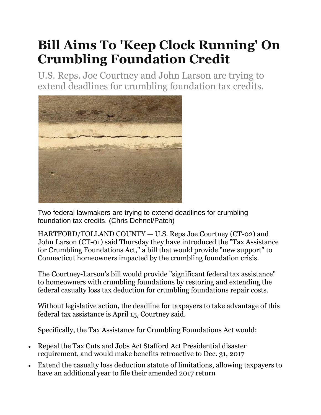## **Bill Aims To 'Keep Clock Running' On Crumbling Foundation Credit**

U.S. Reps. Joe Courtney and John Larson are trying to extend deadlines for crumbling foundation tax credits.



Two federal lawmakers are trying to extend deadlines for crumbling foundation tax credits. (Chris Dehnel/Patch)

HARTFORD/TOLLAND COUNTY — U.S. Reps Joe Courtney (CT-02) and John Larson (CT-01) said Thursday they have introduced the "Tax Assistance for Crumbling Foundations Act," a bill that would provide "new support" to Connecticut homeowners impacted by the crumbling foundation crisis.

The Courtney-Larson's bill would provide "significant federal tax assistance" to homeowners with crumbling foundations by restoring and extending the federal casualty loss tax deduction for crumbling foundations repair costs.

Without legislative action, the deadline for taxpayers to take advantage of this federal tax assistance is April 15, Courtney said.

Specifically, the Tax Assistance for Crumbling Foundations Act would:

- Repeal the Tax Cuts and Jobs Act Stafford Act Presidential disaster requirement, and would make benefits retroactive to Dec. 31, 2017
- Extend the casualty loss deduction statute of limitations, allowing taxpayers to have an additional year to file their amended 2017 return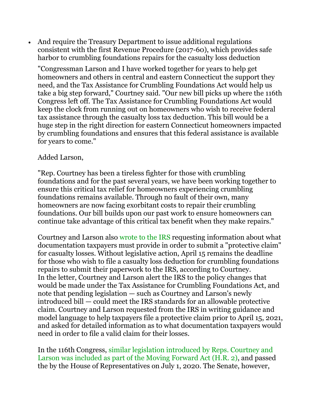And require the Treasury Department to issue additional regulations consistent with the first Revenue Procedure (2017-60), which provides safe harbor to crumbling foundations repairs for the casualty loss deduction

"Congressman Larson and I have worked together for years to help get homeowners and others in central and eastern Connecticut the support they need, and the Tax Assistance for Crumbling Foundations Act would help us take a big step forward," Courtney said. "Our new bill picks up where the 116th Congress left off. The Tax Assistance for Crumbling Foundations Act would keep the clock from running out on homeowners who wish to receive federal tax assistance through the casualty loss tax deduction. This bill would be a huge step in the right direction for eastern Connecticut homeowners impacted by crumbling foundations and ensures that this federal assistance is available for years to come."

## Added Larson,

"Rep. Courtney has been a tireless fighter for those with crumbling foundations and for the past several years, we have been working together to ensure this critical tax relief for homeowners experiencing crumbling foundations remains available. Through no fault of their own, many homeowners are now facing exorbitant costs to repair their crumbling foundations. Our bill builds upon our past work to ensure homeowners can continue take advantage of this critical tax benefit when they make repairs."

Courtney and Larson also [wrote to the IRS](https://courtney.house.gov/sites/courtney.house.gov/files/2019-04-08%20--%20IRS%20CFSIC%20Casualty%20Loss%20Interaction%20Letter.pdf) requesting information about what documentation taxpayers must provide in order to submit a "protective claim" for casualty losses. Without legislative action, April 15 remains the deadline for those who wish to file a casualty loss deduction for crumbling foundations repairs to submit their paperwork to the IRS, according to Courtney. In the letter, Courtney and Larson alert the IRS to the policy changes that would be made under the Tax Assistance for Crumbling Foundations Act, and note that pending legislation — such as Courtney and Larson's newly introduced bill — could meet the IRS standards for an allowable protective claim. Courtney and Larson requested from the IRS in writing guidance and model language to help taxpayers file a protective claim prior to April 15, 2021, and asked for detailed information as to what documentation taxpayers would need in order to file a valid claim for their losses.

In the 116th Congress, [similar legislation introduced by Reps. Courtney and](https://courtney.house.gov/media-center/press-releases/courtney-larson-amendments-support-residents-crumbling-foundations-0)  [Larson was included as part of the Moving Forward Act \(H.R. 2\),](https://courtney.house.gov/media-center/press-releases/courtney-larson-amendments-support-residents-crumbling-foundations-0) and passed the by the House of Representatives on July 1, 2020. The Senate, however,